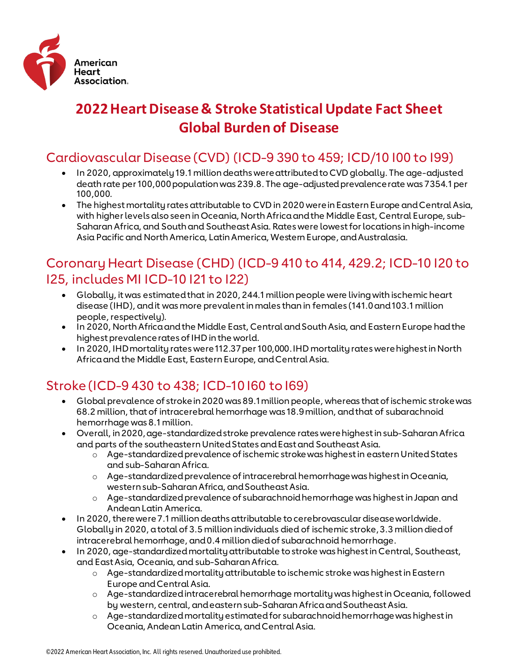

# **2022 Heart Disease & Stroke Statistical Update Fact Sheet Global Burden of Disease**

#### Cardiovascular Disease (CVD) (ICD-9 390 to 459; ICD/10 I00 to I99)

- In 2020, approximately 19.1 million deaths were attributed to CVD globally. The age-adjusted death rate per 100,000 population was 239.8. The age-adjusted prevalence rate was 7354.1 per 100,000.
- The highest mortality rates attributable to CVD in 2020 were in Eastern Europe and Central Asia, with higher levels also seen in Oceania, North Africa and the Middle East, Central Europe, sub-Saharan Africa, and South and Southeast Asia. Rates were lowest for locations in high-income Asia Pacific and North America, Latin America, Western Europe, and Australasia.

#### Coronary Heart Disease (CHD) (ICD-9 410 to 414, 429.2; ICD-10 I20 to I25, includes MI ICD-10 I21 to I22)

- Globally, it was estimated that in 2020, 244.1 million people were living with ischemic heart disease (IHD), and it was more prevalent in males than in females (141.0 and 103.1 million people, respectively).
- In 2020, North Africa and the Middle East, Central and South Asia, and Eastern Europe had the highest prevalence rates of IHD in the world.
- In 2020, IHD mortality rates were 112.37 per 100,000. IHD mortality rates were highest in North Africa and the Middle East, Eastern Europe, and Central Asia.

## Stroke (ICD-9 430 to 438; ICD-10 I60 to I69)

- Global prevalence of stroke in 2020 was 89.1 million people, whereas that of ischemic stroke was 68.2 million, that of intracerebral hemorrhage was 18.9 million, and that of subarachnoid hemorrhage was 8.1 million.
- Overall, in 2020, age-standardized stroke prevalence rates were highest in sub-Saharan Africa and parts of the southeastern United States and East and Southeast Asia.
	- o Age-standardized prevalence of ischemic stroke was highest in eastern United States and sub-Saharan Africa.
	- o Age-standardized prevalence of intracerebral hemorrhage was highest in Oceania, western sub-Saharan Africa, and Southeast Asia.
	- o Age-standardized prevalence of subarachnoid hemorrhage was highest in Japan and Andean Latin America.
- In 2020, there were 7.1 million deaths attributable to cerebrovascular disease worldwide. Globally in 2020, a total of 3.5 million individuals died of ischemic stroke, 3.3 million died of intracerebral hemorrhage, and 0.4 million died of subarachnoid hemorrhage.
- In 2020, age-standardized mortality attributable to stroke was highest in Central, Southeast, and East Asia, Oceania, and sub-Saharan Africa.
	- o Age-standardized mortality attributable to ischemic stroke was highest in Eastern Europe and Central Asia.
	- o Age-standardized intracerebral hemorrhage mortality was highest in Oceania, followed by western, central, and eastern sub-Saharan Africa and Southeast Asia.
	- o Age-standardized mortality estimated for subarachnoid hemorrhage was highest in Oceania, Andean Latin America, and Central Asia.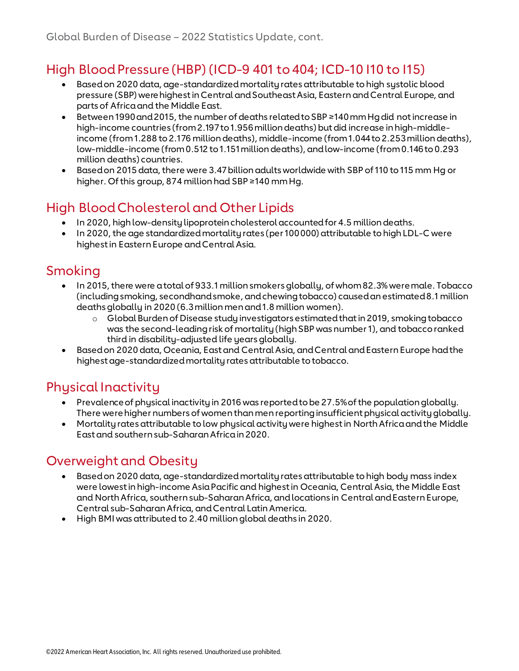#### High Blood Pressure (HBP) (ICD-9 401 to 404; ICD-10 I10 to I15)

- Based on 2020 data, age-standardized mortality rates attributable to high systolic blood pressure (SBP) were highest in Central and Southeast Asia, Eastern and Central Europe, and parts of Africa and the Middle East.
- Between 1990 and 2015, the number of deaths related to SBP ≥140 mm Hg did not increase in high-income countries (from 2.197 to 1.956 million deaths) but did increase in high-middleincome (from 1.288 to 2.176 million deaths), middle-income (from 1.044 to 2.253 million deaths), low-middle-income (from 0.512 to 1.151 million deaths), and low-income (from 0.146 to 0.293 million deaths) countries.
- Based on 2015 data, there were 3.47 billion adults worldwide with SBP of 110 to 115 mm Hg or higher. Of this group, 874 million had SBP ≥140 mm Hg.

### High Blood Cholesterol and Other Lipids

- In 2020, high low-density lipoprotein cholesterol accounted for 4.5 million deaths.
- In 2020, the age standardized mortality rates (per 100 000) attributable to high LDL-C were highest in Eastern Europe and Central Asia.

#### Smoking

- In 2015, there were a total of 933.1 million smokers globally, of whom 82.3% were male. Tobacco (including smoking, secondhand smoke, and chewing tobacco) caused an estimated 8.1 million deaths globally in 2020 (6.3 million men and 1.8 million women).
	- o Global Burden of Disease study investigators estimated that in 2019, smoking tobacco was the second-leading risk of mortality (high SBP was number 1), and tobacco ranked third in disability-adjusted life years globally.
- Based on 2020 data, Oceania, East and Central Asia, and Central and Eastern Europe had the highest age-standardized mortality rates attributable to tobacco.

#### Physical Inactivity

- Prevalence of physical inactivity in 2016 was reported to be 27.5% of the population globally. There were higher numbers of women than men reporting insufficient physical activity globally.
- Mortality rates attributable to low physical activity were highest in North Africa and the Middle East and southern sub-Saharan Africa in 2020.

#### Overweight and Obesity

- Based on 2020 data, age-standardized mortality rates attributable to high body mass index were lowest in high-income Asia Pacific and highest in Oceania, Central Asia, the Middle East and North Africa, southern sub-Saharan Africa, and locations in Central and Eastern Europe, Central sub-Saharan Africa, and Central Latin America.
- High BMI was attributed to 2.40 million global deaths in 2020.